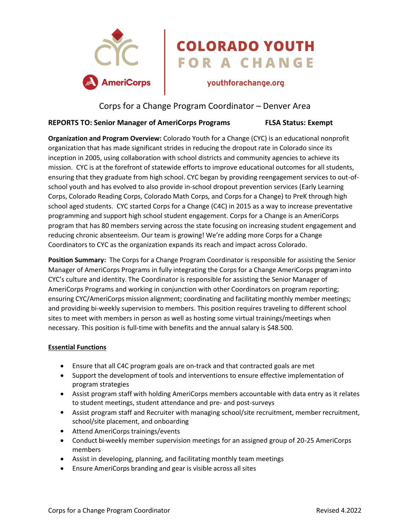

# COLORADO YOUTH<br>FOR A CHANGE

# Corps for a Change Program Coordinator – Denver Area

### **REPORTS TO: Senior Manager of AmeriCorps Programs FLSA Status: Exempt**

**Organization and Program Overview:** Colorado Youth for a Change (CYC) is an educational nonprofit organization that has made significant strides in reducing the dropout rate in Colorado since its inception in 2005, using collaboration with school districts and community agencies to achieve its mission. CYC is at the forefront of statewide efforts to improve educational outcomes for all students, ensuring that they graduate from high school. CYC began by providing reengagement services to out-ofschool youth and has evolved to also provide in-school dropout prevention services (Early Learning Corps, Colorado Reading Corps, Colorado Math Corps, and Corps for a Change) to PreK through high school aged students. CYC started Corps for a Change (C4C) in 2015 as a way to increase preventative programming and support high school student engagement. Corps for a Change is an AmeriCorps program that has 80 members serving across the state focusing on increasing student engagement and reducing chronic absenteeism. Our team is growing! We're adding more Corps for a Change Coordinators to CYC as the organization expands its reach and impact across Colorado.

**Position Summary:** The Corps for a Change Program Coordinator is responsible for assisting the Senior Manager of AmeriCorps Programs in fully integrating the Corps for a Change AmeriCorps programinto CYC's culture and identity. The Coordinator is responsible for assisting the Senior Manager of AmeriCorps Programs and working in conjunction with other Coordinators on program reporting; ensuring CYC/AmeriCorps mission alignment; coordinating and facilitating monthly member meetings; and providing bi-weekly supervision to members. This position requires traveling to different school sites to meet with members in person as well as hosting some virtual trainings/meetings when necessary. This position is full-time with benefits and the annual salary is \$48.500.

#### **Essential Functions**

- Ensure that all C4C program goals are on-track and that contracted goals are met
- Support the development of tools and interventions to ensure effective implementation of program strategies
- Assist program staff with holding AmeriCorps members accountable with data entry as it relates to student meetings, student attendance and pre- and post-surveys
- Assist program staff and Recruiter with managing school/site recruitment, member recruitment, school/site placement, and onboarding
- Attend AmeriCorps trainings/events
- Conduct bi-weekly member supervision meetings for an assigned group of 20-25 AmeriCorps members
- Assist in developing, planning, and facilitating monthly team meetings
- Ensure AmeriCorps branding and gear is visible across all sites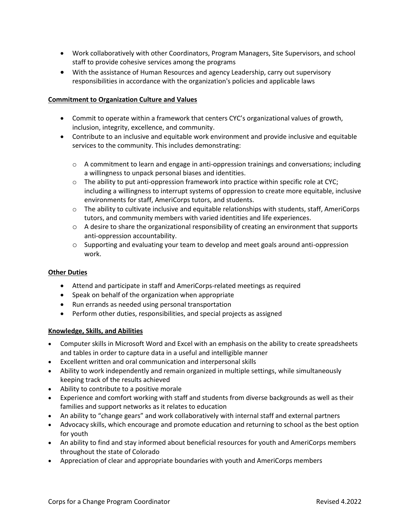- Work collaboratively with other Coordinators, Program Managers, Site Supervisors, and school staff to provide cohesive services among the programs
- With the assistance of Human Resources and agency Leadership, carry out supervisory responsibilities in accordance with the organization's policies and applicable laws

#### **Commitment to Organization Culture and Values**

- Commit to operate within a framework that centers CYC's organizational values of growth, inclusion, integrity, excellence, and community.
- Contribute to an inclusive and equitable work environment and provide inclusive and equitable services to the community. This includes demonstrating:
	- $\circ$  A commitment to learn and engage in anti-oppression trainings and conversations; including a willingness to unpack personal biases and identities.
	- $\circ$  The ability to put anti-oppression framework into practice within specific role at CYC; including a willingness to interrupt systems of oppression to create more equitable, inclusive environments for staff, AmeriCorps tutors, and students.
	- $\circ$  The ability to cultivate inclusive and equitable relationships with students, staff, AmeriCorps tutors, and community members with varied identities and life experiences.
	- o A desire to share the organizational responsibility of creating an environment that supports anti-oppression accountability.
	- o Supporting and evaluating your team to develop and meet goals around anti-oppression work.

#### **Other Duties**

- Attend and participate in staff and AmeriCorps-related meetings as required
- Speak on behalf of the organization when appropriate
- Run errands as needed using personal transportation
- Perform other duties, responsibilities, and special projects as assigned

#### **Knowledge, Skills, and Abilities**

- Computer skills in Microsoft Word and Excel with an emphasis on the ability to create spreadsheets and tables in order to capture data in a useful and intelligible manner
- Excellent written and oral communication and interpersonal skills
- Ability to work independently and remain organized in multiple settings, while simultaneously keeping track of the results achieved
- Ability to contribute to a positive morale
- Experience and comfort working with staff and students from diverse backgrounds as well as their families and support networks as it relates to education
- An ability to "change gears" and work collaboratively with internal staff and external partners
- Advocacy skills, which encourage and promote education and returning to school as the best option for youth
- An ability to find and stay informed about beneficial resources for youth and AmeriCorps members throughout the state of Colorado
- Appreciation of clear and appropriate boundaries with youth and AmeriCorps members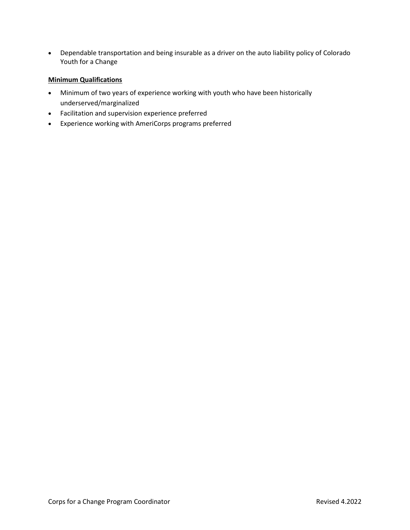Dependable transportation and being insurable as a driver on the auto liability policy of Colorado Youth for a Change

#### **Minimum Qualifications**

- Minimum of two years of experience working with youth who have been historically underserved/marginalized
- Facilitation and supervision experience preferred
- Experience working with AmeriCorps programs preferred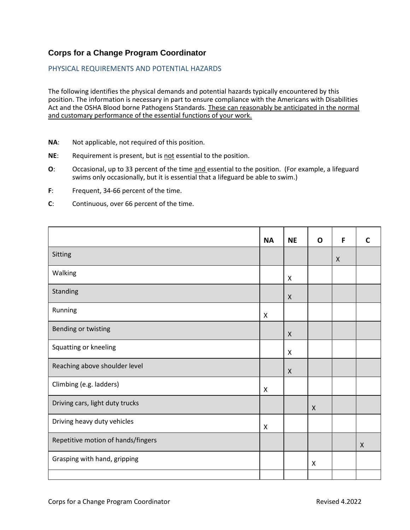## **Corps for a Change Program Coordinator**

#### PHYSICAL REQUIREMENTS AND POTENTIAL HAZARDS

The following identifies the physical demands and potential hazards typically encountered by this position. The information is necessary in part to ensure compliance with the Americans with Disabilities Act and the OSHA Blood borne Pathogens Standards. These can reasonably be anticipated in the normal and customary performance of the essential functions of your work.

- **NA**: Not applicable, not required of this position.
- **NE**: Requirement is present, but is not essential to the position.
- **O**: Occasional, up to 33 percent of the time and essential to the position. (For example, a lifeguard swims only occasionally, but it is essential that a lifeguard be able to swim.)
- **F**: Frequent, 34-66 percent of the time.
- **C**: Continuous, over 66 percent of the time.

|                                    | <b>NA</b>                 | <b>NE</b>                 | $\mathbf 0$               | F                         | C                         |
|------------------------------------|---------------------------|---------------------------|---------------------------|---------------------------|---------------------------|
| Sitting                            |                           |                           |                           | $\boldsymbol{\mathsf{X}}$ |                           |
| Walking                            |                           | X                         |                           |                           |                           |
| Standing                           |                           | $\boldsymbol{\mathsf{X}}$ |                           |                           |                           |
| Running                            | $\boldsymbol{\mathsf{X}}$ |                           |                           |                           |                           |
| Bending or twisting                |                           | X                         |                           |                           |                           |
| Squatting or kneeling              |                           | $\pmb{\mathsf{X}}$        |                           |                           |                           |
| Reaching above shoulder level      |                           | $\boldsymbol{\mathsf{X}}$ |                           |                           |                           |
| Climbing (e.g. ladders)            | $\boldsymbol{\mathsf{X}}$ |                           |                           |                           |                           |
| Driving cars, light duty trucks    |                           |                           | $\boldsymbol{\mathsf{X}}$ |                           |                           |
| Driving heavy duty vehicles        | $\boldsymbol{\mathsf{X}}$ |                           |                           |                           |                           |
| Repetitive motion of hands/fingers |                           |                           |                           |                           | $\boldsymbol{\mathsf{X}}$ |
| Grasping with hand, gripping       |                           |                           | $\pmb{\times}$            |                           |                           |
|                                    |                           |                           |                           |                           |                           |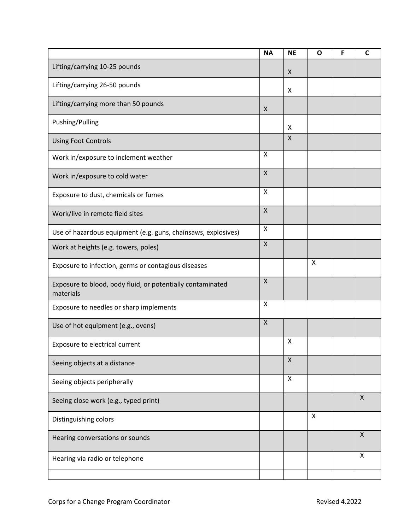|                                                                         | <b>NA</b>          | <b>NE</b>                 | $\mathbf{o}$              | F | $\mathsf{C}$ |
|-------------------------------------------------------------------------|--------------------|---------------------------|---------------------------|---|--------------|
| Lifting/carrying 10-25 pounds                                           |                    | $\boldsymbol{\mathsf{X}}$ |                           |   |              |
| Lifting/carrying 26-50 pounds                                           |                    | X                         |                           |   |              |
| Lifting/carrying more than 50 pounds                                    | X                  |                           |                           |   |              |
| Pushing/Pulling                                                         |                    | X                         |                           |   |              |
| <b>Using Foot Controls</b>                                              |                    | $\pmb{\mathsf{X}}$        |                           |   |              |
| Work in/exposure to inclement weather                                   | X                  |                           |                           |   |              |
| Work in/exposure to cold water                                          | $\mathsf X$        |                           |                           |   |              |
| Exposure to dust, chemicals or fumes                                    | X                  |                           |                           |   |              |
| Work/live in remote field sites                                         | $\mathsf{X}$       |                           |                           |   |              |
| Use of hazardous equipment (e.g. guns, chainsaws, explosives)           | $\pmb{\times}$     |                           |                           |   |              |
| Work at heights (e.g. towers, poles)                                    | $\mathsf{X}$       |                           |                           |   |              |
| Exposure to infection, germs or contagious diseases                     |                    |                           | $\boldsymbol{\mathsf{X}}$ |   |              |
| Exposure to blood, body fluid, or potentially contaminated<br>materials | $\pmb{\times}$     |                           |                           |   |              |
| Exposure to needles or sharp implements                                 | X                  |                           |                           |   |              |
| Use of hot equipment (e.g., ovens)                                      | $\pmb{\mathsf{X}}$ |                           |                           |   |              |
| Exposure to electrical current                                          |                    | X                         |                           |   |              |
| Seeing objects at a distance                                            |                    | $\mathsf X$               |                           |   |              |
| Seeing objects peripherally                                             |                    | $\mathsf{X}$              |                           |   |              |
| Seeing close work (e.g., typed print)                                   |                    |                           |                           |   | $\mathsf{x}$ |
| Distinguishing colors                                                   |                    |                           | $\boldsymbol{\mathsf{X}}$ |   |              |
| Hearing conversations or sounds                                         |                    |                           |                           |   | X            |
| Hearing via radio or telephone                                          |                    |                           |                           |   | X            |